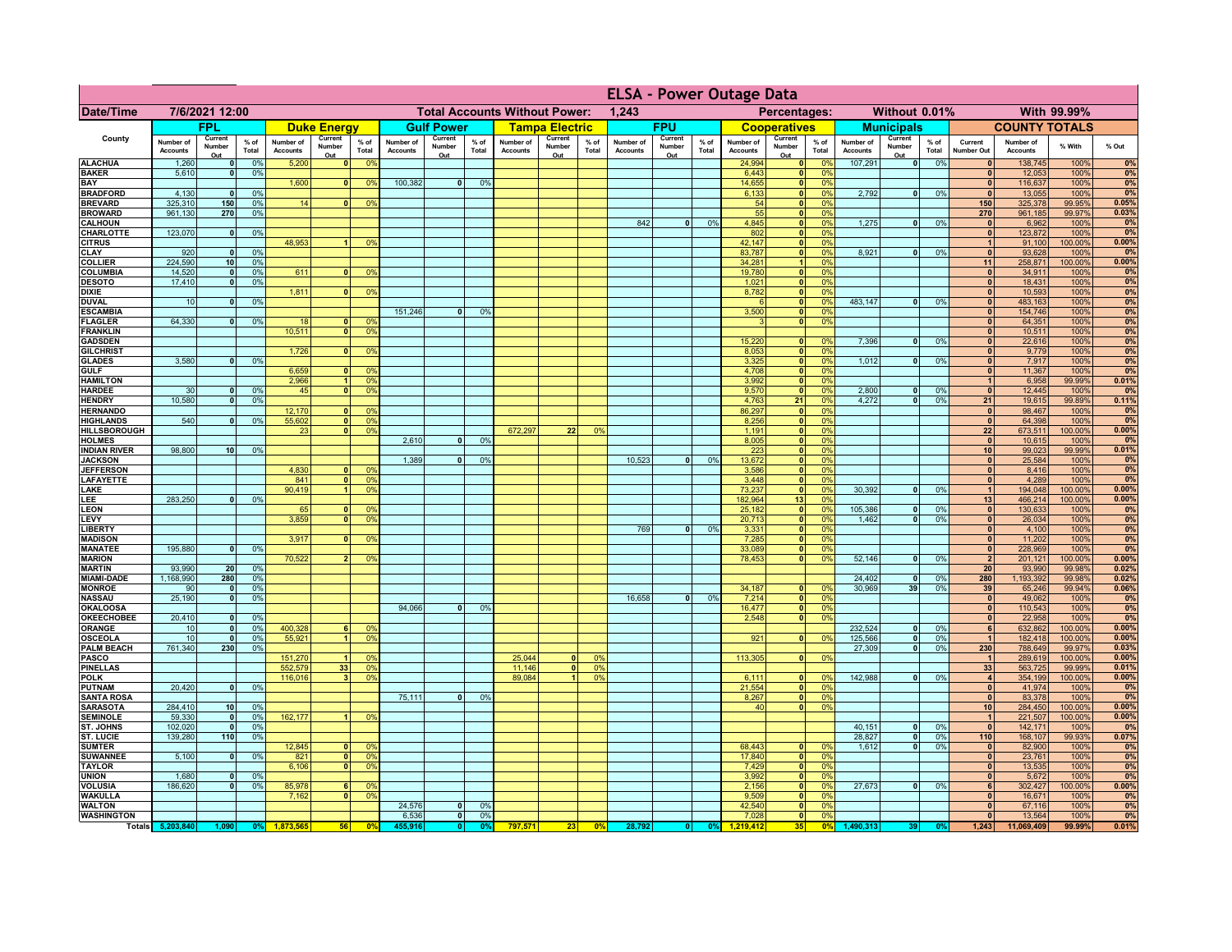|                                         | <b>ELSA - Power Outage Data</b> |                          |                 |                              |                            |                                                                      |                              |                          |                 |                                      |                              |                 |                              |                          |               |                              |                          |                               |                              |                          |                 |                                 |                              |                   |                |
|-----------------------------------------|---------------------------------|--------------------------|-----------------|------------------------------|----------------------------|----------------------------------------------------------------------|------------------------------|--------------------------|-----------------|--------------------------------------|------------------------------|-----------------|------------------------------|--------------------------|---------------|------------------------------|--------------------------|-------------------------------|------------------------------|--------------------------|-----------------|---------------------------------|------------------------------|-------------------|----------------|
| Date/Time                               |                                 | 7/6/2021 12:00           |                 |                              |                            |                                                                      |                              |                          |                 | <b>Total Accounts Without Power:</b> |                              |                 | 1,243                        |                          |               |                              | Percentages:             |                               |                              | Without 0.01%            |                 |                                 |                              | With 99.99%       |                |
|                                         |                                 | <b>FPL</b>               |                 |                              | <b>Duke Energy</b>         |                                                                      |                              | <b>Gulf Power</b>        |                 |                                      | <b>Tampa Electric</b>        |                 |                              | <b>FPU</b>               |               |                              | <b>Cooperatives</b>      |                               |                              | <b>Municipals</b>        |                 |                                 | <b>COUNTY TOTALS</b>         |                   |                |
| County                                  | Number of<br><b>Accounts</b>    | Current<br>Number<br>Out | $%$ of<br>Total | Number of<br><b>Accounts</b> | Current<br>Number<br>Out   | $%$ of<br>Total                                                      | Number of<br><b>Accounts</b> | Current<br>Number<br>Out | $%$ of<br>Total | Number of<br><b>Accounts</b>         | Current<br>Number<br>Out     | $%$ of<br>Total | Number of<br><b>Accounts</b> | Current<br>Number<br>Out | % of<br>Total | Number of<br><b>Accounts</b> | Current<br>Number<br>Out | $%$ of<br>Total               | Number of<br><b>Accounts</b> | Current<br>Number<br>Out | $%$ of<br>Total | Current<br><b>Number Out</b>    | Number of<br><b>Accounts</b> | % With            | % Out          |
| <b>ALACHUA</b>                          | 1,260                           | $\mathbf{0}$             | 0%              | 5,200                        | $\mathbf{0}$               | 0 <sup>9</sup>                                                       |                              |                          |                 |                                      |                              |                 |                              |                          |               | 24,994                       | 0                        | 0%                            | 107,291                      | $\overline{0}$           | 0%              | $\mathbf{0}$                    | 138,745                      | 100%              | 0%             |
| <b>BAKER</b><br><b>BAY</b>              | 5,610                           | $\mathbf{0}$             | 0%              |                              |                            | $\mathbf{0}$                                                         | 100,382                      | $\mathbf{0}$             | 0%              |                                      |                              |                 |                              |                          |               | 6,443<br>14,655              | 0 <br> 0                 | 0%<br>0%                      |                              |                          |                 | $\mathbf{0}$<br> 0              | 12,053<br>116,637            | 100%<br>100%      | 0%<br>0%       |
| <b>BRADFORD</b>                         | 4,130                           | $\mathbf{0}$             | 0%              | 1,600                        |                            | 0 <sup>9</sup>                                                       |                              |                          |                 |                                      |                              |                 |                              |                          |               | 6,133                        | 0                        | 0%                            | 2,792                        | 0                        | 0%              | 0                               | 13,055                       | 100%              | 0%             |
| <b>BREVARD</b>                          | 325.310                         | 150                      | 0%              | 14                           | $\mathbf{0}$               | 0 <sup>9</sup>                                                       |                              |                          |                 |                                      |                              |                 |                              |                          |               | 54                           | 0                        | 0%                            |                              |                          |                 | 150                             | 325,378                      | 99.95%            | 0.05%          |
| <b>BROWARD</b>                          | 961,130                         | 270                      | 0%              |                              |                            |                                                                      |                              |                          |                 |                                      |                              |                 |                              |                          |               | 55                           | 0                        | 0%                            |                              |                          |                 | 270                             | 961,185                      | 99.97%            | 0.03%          |
| <b>CALHOUN</b><br>CHARLOTTE             | 123,070                         | $\mathbf{0}$             | 0%              |                              |                            |                                                                      |                              |                          |                 |                                      |                              |                 | 842                          | $\overline{\mathbf{0}}$  | 0%            | 4,845<br>802                 | 0 <br> 0                 | 0%<br>0%                      | 1,275                        | - O I                    | 0%              | $\mathbf{0}$<br>$\mathbf{0}$    | 6,962<br>123,872             | 100%<br>100%      | 0%<br>0%       |
| <b>CITRUS</b>                           |                                 |                          |                 | 48,953                       |                            | 0 <sup>9</sup>                                                       |                              |                          |                 |                                      |                              |                 |                              |                          |               | 42,147                       | 0                        | 0%                            |                              |                          |                 | $\mathbf{1}$                    | 91,100                       | 100.00%           | 0.00%          |
| CLAY                                    | 920                             | $\mathbf 0$              | 0%              |                              |                            |                                                                      |                              |                          |                 |                                      |                              |                 |                              |                          |               | 83,787                       | 0                        | 0%                            | 8,921                        | 0                        | 0%              | $\mathbf{0}$                    | 93,628                       | 100%              | 0%             |
| <b>COLLIER</b>                          | 224,590                         | 10 <sup>1</sup>          | 0%              |                              |                            |                                                                      |                              |                          |                 |                                      |                              |                 |                              |                          |               | 34,281                       | $\blacktriangleleft$     | 0%                            |                              |                          |                 | 11                              | 258,871                      | 100.00%           | 0.00%          |
| COLUMBIA<br><b>DESOTO</b>               | 14,520<br>17,410                | 0 <br> 0                 | 0%<br>0%        | 611                          | $\mathbf{0}$               | 0 <sup>9</sup>                                                       |                              |                          |                 |                                      |                              |                 |                              |                          |               | 19,780<br>1,021              | 0 <br> 0                 | 0%<br>0%                      |                              |                          |                 | $\mathbf{0}$<br>$\mathbf{0}$    | 34,911<br>18,431             | 100%<br>100%      | 0%<br>0%       |
| <b>DIXIE</b>                            |                                 |                          |                 | 1,811                        | 0                          | 0 <sup>9</sup>                                                       |                              |                          |                 |                                      |                              |                 |                              |                          |               | 8,782                        | 0                        | 0%                            |                              |                          |                 | $\mathbf{0}$                    | 10,593                       | 100%              | 0%             |
| <b>DUVAL</b>                            | 10                              | 0                        | 0%              |                              |                            |                                                                      |                              |                          |                 |                                      |                              |                 |                              |                          |               |                              | 0                        | 0%                            | 483.147                      | -ol                      | 0%              | 0                               | 483,163                      | 100%              | 0%             |
| <b>ESCAMBIA</b>                         | 64,330                          |                          |                 |                              |                            |                                                                      | 151,246                      | $\mathbf{0}$             | 0 <sup>9</sup>  |                                      |                              |                 |                              |                          |               | 3,500                        | 0                        | 0%<br>0%                      |                              |                          |                 | 0                               | 154,746                      | 100%              | 0%<br>0%       |
| <b>FLAGLER</b><br><b>FRANKLIN</b>       |                                 | 0                        | 0%              | -18<br>10.511                | $\Omega$<br>$\overline{0}$ | 0 <sup>9</sup><br>0 <sup>9</sup>                                     |                              |                          |                 |                                      |                              |                 |                              |                          |               | $\mathbf{B}$                 | 0                        |                               |                              |                          |                 | $\mathbf{0}$<br>$\mathbf{0}$    | 64,351<br>10,511             | 100%<br>100%      | 0%             |
| <b>GADSDEN</b>                          |                                 |                          |                 |                              |                            |                                                                      |                              |                          |                 |                                      |                              |                 |                              |                          |               | 15,220                       |                          | 0 <br>0%                      | 7,396                        | 0                        | 0%              | 0                               | 22,616                       | 100%              | 0%             |
| <b>GILCHRIST</b>                        |                                 |                          |                 | 1,726                        | 0                          | 0 <sup>9</sup>                                                       |                              |                          |                 |                                      |                              |                 |                              |                          |               | 8,053                        | 0                        | 0%                            |                              |                          |                 | 0                               | 9,779                        | 100%              | 0%             |
| <b>GLADES</b>                           | 3,580                           | $\overline{\mathbf{0}}$  | 0%              |                              |                            |                                                                      |                              |                          |                 |                                      |                              |                 |                              |                          |               | 3,325                        | 0                        | 0%                            | 1,012                        | $\overline{0}$           | 0%              | 0 <br> 0                        | 7,917                        | 100%              | 0%<br>0%       |
| <b>GULF</b><br><b>HAMILTON</b>          |                                 |                          |                 | 6,659<br>2,966               | 0                          | 0 <sup>9</sup><br>1<br>0 <sup>9</sup>                                |                              |                          |                 |                                      |                              |                 |                              |                          |               | 4,708<br>3,992               | 0 <br> 0                 | 0%<br>0%                      |                              |                          |                 | 1                               | 11,367<br>6,958              | 100%<br>99.99%    | 0.01%          |
| <b>HARDEE</b>                           | 30                              | 0                        | 0 <sup>9</sup>  | 45                           | $\overline{0}$             | 0 <sup>9</sup>                                                       |                              |                          |                 |                                      |                              |                 |                              |                          |               | 9,570                        |                          | $\overline{\mathbf{0}}$<br>0% | 2,800                        | $\overline{0}$           | 0%              | $\overline{0}$                  | 12,445                       | 100%              | 0%             |
| <b>HENDRY</b>                           | 10,580                          | $\overline{0}$           | 0 <sup>9</sup>  |                              |                            |                                                                      |                              |                          |                 |                                      |                              |                 |                              |                          |               | 4,763                        | 21                       | 0%                            | 4.272                        | $\overline{0}$           | 0%              | 21                              | 19,615                       | 99.89%            | 0.11%          |
| <b>HERNANDO</b>                         | 540                             |                          |                 | 12,170                       |                            | $\mathbf{0}$<br>0 <sup>9</sup>                                       |                              |                          |                 |                                      |                              |                 |                              |                          |               | 86,297                       |                          | $\overline{\mathbf{0}}$<br>0% |                              |                          |                 | 0                               | 98,467                       | 100%              | 0%<br>0%       |
| <b>HIGHLANDS</b><br><b>HILLSBOROUGH</b> |                                 | nl                       | 0%              | 55,602<br>23                 |                            | 0 <sup>1</sup><br>0 <sup>9</sup><br>0 <sup>1</sup><br>0 <sup>9</sup> |                              |                          |                 | 672.297                              | 22                           | 0%              |                              |                          |               | 8,256<br>1,191               | 0                        | 0 <br>0%<br>0%                |                              |                          |                 | $\Omega$<br>22                  | 64,398<br>673,511            | 100%<br>100.00%   | 0.00%          |
| <b>HOLMES</b>                           |                                 |                          |                 |                              |                            |                                                                      | 2,610                        | $\mathbf{a}$             | 0 <sup>9</sup>  |                                      |                              |                 |                              |                          |               | 8,005                        | 0                        | 0%                            |                              |                          |                 | $\Omega$                        | 10,615                       | 100%              | 0%             |
| <b>INDIAN RIVER</b>                     | 98,800                          | 10 <sup>1</sup>          | 0%              |                              |                            |                                                                      |                              |                          |                 |                                      |                              |                 |                              |                          |               | 223                          | 0                        | 0%                            |                              |                          |                 | 10 <sup>1</sup>                 | 99,023                       | 99.99%            | 0.01%          |
| <b>JACKSON</b><br><b>JEFFERSON</b>      |                                 |                          |                 | 4,830                        | $\mathbf{0}$               | 0 <sup>9</sup>                                                       | 1,389                        | $\mathbf{0}$             | 0%              |                                      |                              |                 | 10,523                       | $\Omega$                 | 0%            | 13,672                       |                          | 0 <br>0%<br>0%<br> 0          |                              |                          |                 | 0 <br> 0                        | 25,584<br>8,416              | 100%<br>100%      | 0%<br>0%       |
| LAFAYETTE                               |                                 |                          |                 | 841                          | $\Omega$                   | 0 <sup>9</sup>                                                       |                              |                          |                 |                                      |                              |                 |                              |                          |               | 3,586<br>3,448               | 0                        | 0%                            |                              |                          |                 | 0                               | 4,289                        | 100%              | 0%             |
| LAKE                                    |                                 |                          |                 | 90,419                       | $\overline{1}$             | 0 <sup>9</sup>                                                       |                              |                          |                 |                                      |                              |                 |                              |                          |               | 73,237                       | 0                        | 0%                            | 30,392                       | $\mathbf{0}$             | 0%              | 1                               | 194,048                      | 100.00%           | 0.00%          |
| <b>LEE</b>                              | 283,250                         | $\Omega$                 | 0%              |                              |                            |                                                                      |                              |                          |                 |                                      |                              |                 |                              |                          |               | 182,964                      | 13                       | 0%                            |                              |                          |                 | 13                              | 466,214                      | 100.00%           | 0.00%          |
| <b>LEON</b><br>LEVY                     |                                 |                          |                 | 65<br>3,859                  | $\mathbf{0}$<br> 0         | 0 <sup>9</sup><br>0 <sup>9</sup>                                     |                              |                          |                 |                                      |                              |                 |                              |                          |               | 25,182<br>20,713             |                          | 0 <br>0%<br> 0 <br>0%         | 105,386<br>1,462             | 0 <br>- O I              | 0%<br>0%        | 0 <br> 0                        | 130,633<br>26,034            | 100%<br>100%      | 0%<br>0%       |
| <b>LIBERTY</b>                          |                                 |                          |                 |                              |                            |                                                                      |                              |                          |                 |                                      |                              |                 | 769                          | $\mathbf{0}$             | 0%            | 3,331                        |                          | 0 <br>0%                      |                              |                          |                 | 0                               | 4,100                        | 100%              | 0%             |
| <b>MADISON</b>                          |                                 |                          |                 | 3,917                        | $\Omega$                   | 0 <sup>9</sup>                                                       |                              |                          |                 |                                      |                              |                 |                              |                          |               | 7,285                        |                          | 0 <br>0%                      |                              |                          |                 | 0                               | 11,202                       | 100%              | 0%             |
| <b>MANATEE</b>                          | 195,880                         | 0                        | 0%              |                              |                            |                                                                      |                              |                          |                 |                                      |                              |                 |                              |                          |               | 33,089                       |                          | 0 <br>0%                      |                              |                          |                 | 0                               | 228,969                      | 100%              | 0%             |
| <b>MARION</b><br><b>MARTIN</b>          | 93,990                          | 20                       | 0%              | 70,522                       |                            | 0 <sup>9</sup>                                                       |                              |                          |                 |                                      |                              |                 |                              |                          |               | 78,453                       |                          | 0%<br> 0                      | 52,146                       | ol                       | 0%              | $\mathbf{2}$<br>20 <sup>1</sup> | 201,121<br>93,990            | 100.00%<br>99.98% | 0.00%<br>0.02% |
| <b>MIAMI-DADE</b>                       | 1,168,990                       | 280                      | 0%              |                              |                            |                                                                      |                              |                          |                 |                                      |                              |                 |                              |                          |               |                              |                          |                               | 24,402                       | $\mathbf{0}$             | 0%              | 280                             | 1,193,392                    | 99.98%            | 0.02%          |
| <b>MONROE</b>                           | 90                              | 0                        | 0%              |                              |                            |                                                                      |                              |                          |                 |                                      |                              |                 |                              |                          |               | 34,187                       | 0                        | $\Omega$ %                    | 30,969                       | 39                       | 0%              | 39                              | 65,246                       | 99.94%            | 0.06%          |
| <b>NASSAU</b>                           | 25,190                          | 0                        | 0%              |                              |                            |                                                                      |                              |                          |                 |                                      |                              |                 | 16,658                       | 0                        | 0%            | 7,214                        | 0                        | 0%                            |                              |                          |                 | 0                               | 49,062                       | 100%              | 0%             |
| <b>OKALOOSA</b><br><b>OKEECHOBEE</b>    | 20,410                          | 0                        | 0%              |                              |                            |                                                                      | 94,066                       | $\mathbf{0}$             | 0%              |                                      |                              |                 |                              |                          |               | 16,477<br>2,548              |                          | 0%<br> 0 <br>0%<br> 0         |                              |                          |                 | 0 <br> 0                        | 110,543<br>22,958            | 100%<br>100%      | 0%<br>0%       |
| <b>ORANGE</b>                           | 10                              | 0                        | 0%              | 400,328                      | 6                          | $\Omega$                                                             |                              |                          |                 |                                      |                              |                 |                              |                          |               |                              |                          |                               | 232,524                      | $\overline{\mathbf{0}}$  | 0%              | 6                               | 632,862                      | 100.00%           | 0.00%          |
| <b>OSCEOLA</b>                          | 10                              | - O I                    | 0%              | 55,921                       | 11                         | 0 <sup>9</sup>                                                       |                              |                          |                 |                                      |                              |                 |                              |                          |               | 921                          |                          | 0 <br>0%                      | 125,566                      | -ol                      | 0%              | $\vert$ 1                       | 182,418                      | 100.00%           | 0.00%          |
| <b>PALM BEACH</b>                       | 761,340                         | 230                      | 0%              |                              |                            |                                                                      |                              |                          |                 |                                      |                              |                 |                              |                          |               |                              |                          |                               | 27,309                       | 0                        | 0%              | 230                             | 788,649                      | 99.97%            | 0.03%          |
| <b>PASCO</b><br><b>PINELLAS</b>         |                                 |                          |                 | 151,270<br>552,579           | $\mathbf{1}$<br>33         | 0 <sup>9</sup><br>0 <sup>9</sup>                                     |                              |                          |                 | 25,044<br>11,146                     | $\mathbf{0}$<br>$\mathbf{0}$ | 0%<br>0%        |                              |                          |               | 113,305                      |                          | 0 <br>0%                      |                              |                          |                 | $\vert$ 1<br>33                 | 289,619<br>563,725           | 100.00%<br>99.99% | 0.00%<br>0.01% |
| <b>POLK</b>                             |                                 |                          |                 | 116,016                      | 3 <sup>1</sup>             | 0 <sup>9</sup>                                                       |                              |                          |                 | 89,084                               |                              | 0%              |                              |                          |               | 6,111                        |                          | 0                             | 142,988                      | 0                        | 0%              | $\vert$                         | 354,199                      | 100.00%           | 0.00%          |
| PUTNAM                                  | 20,420                          | 0                        | 0%              |                              |                            |                                                                      |                              |                          |                 |                                      |                              |                 |                              |                          |               | 21,554                       |                          | 0 <br>0%                      |                              |                          |                 | 0                               | 41,974                       | 100%              | 0%             |
| <b>SANTA ROSA</b><br><b>SARASOTA</b>    | 284,410                         | 10 <sup>1</sup>          | 0%              |                              |                            |                                                                      | 75,111                       | $\mathbf{0}$             | 0%              |                                      |                              |                 |                              |                          |               | 8,267<br>40                  |                          | 0 <br>0%<br> 0 <br>0%         |                              |                          |                 | 0 <br>10 <sup>1</sup>           | 83,378<br>284,450            | 100%<br>100.00%   | 0%<br>0.00%    |
| <b>SEMINOLE</b>                         | 59.330                          | - ol                     | 0%              | 162,177                      | $\overline{1}$             | 0 <sup>9</sup>                                                       |                              |                          |                 |                                      |                              |                 |                              |                          |               |                              |                          |                               |                              |                          |                 | 1                               | 221,507                      | 100.00%           | 0.00%          |
| ST. JOHNS                               | 102.020                         | - Ol                     | 0%              |                              |                            |                                                                      |                              |                          |                 |                                      |                              |                 |                              |                          |               |                              |                          |                               | 40,151                       | - O I                    | 0%              | 0                               | 142.171                      | 100%              | 0%             |
| <b>ST. LUCIE</b>                        | 139,280                         | 110                      | 0%              |                              |                            |                                                                      |                              |                          |                 |                                      |                              |                 |                              |                          |               |                              |                          |                               | 28.827                       | -ol                      | 0%              | 110                             | 168,107                      | 99.93%            | 0.07%          |
| <b>SUMTER</b>                           |                                 |                          |                 | 12,845                       |                            | 0 <br>0 <sup>9</sup>                                                 |                              |                          |                 |                                      |                              |                 |                              |                          |               | 68,443                       | 0                        | 0%                            | 1,612                        | 0                        | 0%              | 0                               | 82,900                       | 100%              | 0%<br>0%       |
| <b>SUWANNEE</b><br><b>TAYLOR</b>        | 5,100                           | 0                        | 0%              | 821<br>6,106                 | 0 <br>$\mathbf{0}$         | 0 <sup>9</sup><br>0 <sup>9</sup>                                     |                              |                          |                 |                                      |                              |                 |                              |                          |               | 17,840<br>7,429              | 0 <br> 0                 | 0%<br>0%                      |                              |                          |                 | 0 <br>$\mathbf{0}$              | 23,761<br>13,535             | 100%<br>100%      | 0%             |
| <b>UNION</b>                            | 1,680                           | $\bullet$                | 0%              |                              |                            |                                                                      |                              |                          |                 |                                      |                              |                 |                              |                          |               | 3,992                        | 0                        | 0%                            |                              |                          |                 | $\mathbf{0}$                    | 5,672                        | 100%              | 0%             |
| <b>VOLUSIA</b>                          | 186,620                         | 0                        | 0%              | 85,978                       | 6                          | $\mathbf{0}$                                                         |                              |                          |                 |                                      |                              |                 |                              |                          |               | 2,156                        | 0                        | 0%                            | 27,673                       | 0                        | 0%              | 6                               | 302,427                      | 100.00%           | 0.00%          |
| <b>WAKULLA</b><br><b>WALTON</b>         |                                 |                          |                 | 7,162                        | $\mathbf{0}$               | 0 <sup>9</sup>                                                       | 24,576                       | 0                        | 0%              |                                      |                              |                 |                              |                          |               | 9,509<br>42,540              | 0                        | 0%<br>0%                      |                              |                          |                 | $\mathbf{0}$<br>$\mathbf{0}$    | 16,671                       | 100%<br>100%      | 0%<br>0%       |
| <b>WASHINGTON</b>                       |                                 |                          |                 |                              |                            |                                                                      | 6,536                        | 0                        | 0%              |                                      |                              |                 |                              |                          |               | 7,028                        | 0                        | 0 <br>0%                      |                              |                          |                 | $\mathbf{0}$                    | 67,116<br>13,564             | 100%              | 0%             |
|                                         | Totals 5,203,840                | 1,090                    | 0 <sup>9</sup>  | 1,873,565                    | 56                         | 0 <sup>9</sup>                                                       | 455,916                      | 0                        | 0%              | 797,571                              | 23                           | 0%              | 28,792                       | 0                        | 0%            | 1,219,412                    | 35                       | 0%                            | 1,490,313                    | 39                       | 0%              | 1,243                           | 11.069.409                   | 99.99%            | 0.01%          |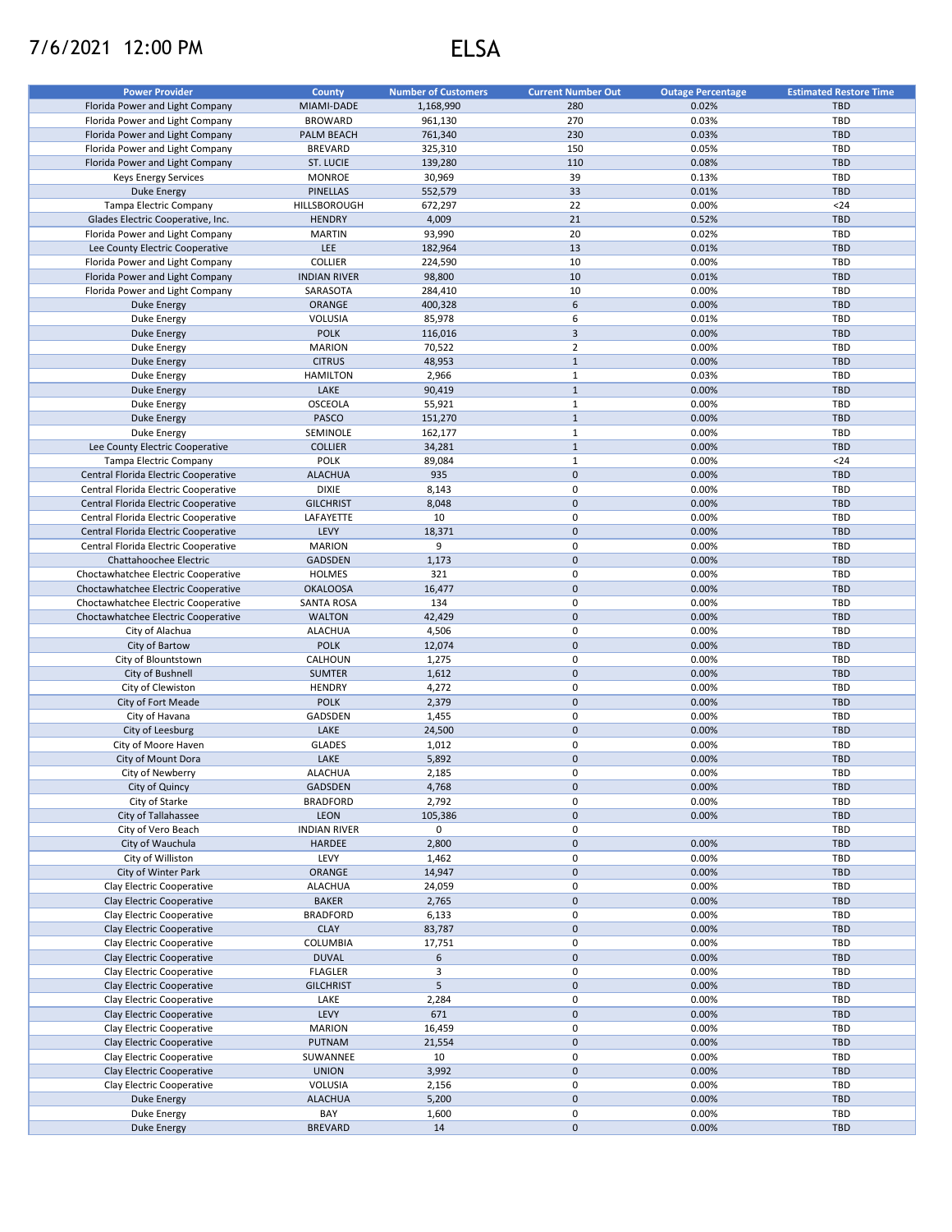## 7/6/2021 12:00 PM ELSA

| <b>Power Provider</b>                | <b>County</b>       | <b>Number of Customers</b> | <b>Current Number Out</b> | <b>Outage Percentage</b> | <b>Estimated Restore Time</b> |
|--------------------------------------|---------------------|----------------------------|---------------------------|--------------------------|-------------------------------|
| Florida Power and Light Company      | MIAMI-DADE          | 1,168,990                  | 280                       | 0.02%                    | <b>TBD</b>                    |
| Florida Power and Light Company      | <b>BROWARD</b>      | 961,130                    | 270                       | 0.03%                    | <b>TBD</b>                    |
|                                      |                     |                            |                           |                          |                               |
| Florida Power and Light Company      | PALM BEACH          | 761,340                    | 230                       | 0.03%                    | <b>TBD</b>                    |
| Florida Power and Light Company      | <b>BREVARD</b>      | 325,310                    | 150                       | 0.05%                    | <b>TBD</b>                    |
| Florida Power and Light Company      | <b>ST. LUCIE</b>    | 139,280                    | 110                       | 0.08%                    | <b>TBD</b>                    |
| <b>Keys Energy Services</b>          | <b>MONROE</b>       | 30,969                     | 39                        | 0.13%                    | TBD                           |
| <b>Duke Energy</b>                   | <b>PINELLAS</b>     | 552,579                    | 33                        | 0.01%                    | <b>TBD</b>                    |
| Tampa Electric Company               | HILLSBOROUGH        | 672,297                    | 22                        | 0.00%                    | $24$                          |
| Glades Electric Cooperative, Inc.    | <b>HENDRY</b>       | 4,009                      | 21                        | 0.52%                    | <b>TBD</b>                    |
| Florida Power and Light Company      | <b>MARTIN</b>       | 93,990                     | 20                        | 0.02%                    | <b>TBD</b>                    |
|                                      | LEE                 |                            | 13                        | 0.01%                    | <b>TBD</b>                    |
| Lee County Electric Cooperative      |                     | 182,964                    |                           |                          |                               |
| Florida Power and Light Company      | <b>COLLIER</b>      | 224,590                    | 10                        | 0.00%                    | TBD                           |
| Florida Power and Light Company      | <b>INDIAN RIVER</b> | 98,800                     | 10                        | 0.01%                    | <b>TBD</b>                    |
| Florida Power and Light Company      | SARASOTA            | 284,410                    | 10                        | 0.00%                    | TBD                           |
| <b>Duke Energy</b>                   | ORANGE              | 400,328                    | 6                         | 0.00%                    | <b>TBD</b>                    |
| Duke Energy                          | VOLUSIA             | 85,978                     | 6                         | 0.01%                    | <b>TBD</b>                    |
| <b>Duke Energy</b>                   | <b>POLK</b>         | 116,016                    | 3                         | 0.00%                    | <b>TBD</b>                    |
| Duke Energy                          | <b>MARION</b>       | 70,522                     | $\overline{2}$            | 0.00%                    | TBD                           |
| <b>Duke Energy</b>                   | <b>CITRUS</b>       | 48,953                     | $\mathbf 1$               | 0.00%                    | <b>TBD</b>                    |
|                                      |                     |                            | $\mathbf 1$               |                          |                               |
| Duke Energy                          | <b>HAMILTON</b>     | 2,966                      |                           | 0.03%                    | TBD                           |
| <b>Duke Energy</b>                   | LAKE                | 90,419                     | $1\,$                     | 0.00%                    | <b>TBD</b>                    |
| Duke Energy                          | <b>OSCEOLA</b>      | 55,921                     | $\mathbf 1$               | 0.00%                    | TBD                           |
| <b>Duke Energy</b>                   | <b>PASCO</b>        | 151,270                    | $1\,$                     | 0.00%                    | <b>TBD</b>                    |
| <b>Duke Energy</b>                   | SEMINOLE            | 162,177                    | $\mathbf 1$               | 0.00%                    | <b>TBD</b>                    |
| Lee County Electric Cooperative      | <b>COLLIER</b>      | 34,281                     | $1\,$                     | 0.00%                    | <b>TBD</b>                    |
| Tampa Electric Company               | <b>POLK</b>         | 89,084                     | $\mathbf 1$               | 0.00%                    | $24$                          |
| Central Florida Electric Cooperative | <b>ALACHUA</b>      | 935                        | $\mathbf 0$               | 0.00%                    | <b>TBD</b>                    |
|                                      | <b>DIXIE</b>        |                            | 0                         | 0.00%                    | <b>TBD</b>                    |
| Central Florida Electric Cooperative |                     | 8,143                      |                           |                          |                               |
| Central Florida Electric Cooperative | <b>GILCHRIST</b>    | 8,048                      | $\pmb{0}$                 | 0.00%                    | <b>TBD</b>                    |
| Central Florida Electric Cooperative | LAFAYETTE           | 10                         | 0                         | 0.00%                    | <b>TBD</b>                    |
| Central Florida Electric Cooperative | LEVY                | 18,371                     | $\pmb{0}$                 | 0.00%                    | <b>TBD</b>                    |
| Central Florida Electric Cooperative | <b>MARION</b>       | 9                          | 0                         | 0.00%                    | <b>TBD</b>                    |
| Chattahoochee Electric               | <b>GADSDEN</b>      | 1,173                      | 0                         | 0.00%                    | <b>TBD</b>                    |
| Choctawhatchee Electric Cooperative  | <b>HOLMES</b>       | 321                        | 0                         | 0.00%                    | <b>TBD</b>                    |
| Choctawhatchee Electric Cooperative  | <b>OKALOOSA</b>     | 16,477                     | $\pmb{0}$                 | 0.00%                    | <b>TBD</b>                    |
|                                      |                     | 134                        | 0                         | 0.00%                    | <b>TBD</b>                    |
| Choctawhatchee Electric Cooperative  | <b>SANTA ROSA</b>   |                            |                           |                          |                               |
| Choctawhatchee Electric Cooperative  | <b>WALTON</b>       | 42,429                     | 0                         | 0.00%                    | <b>TBD</b>                    |
| City of Alachua                      | <b>ALACHUA</b>      | 4,506                      | 0                         | 0.00%                    | <b>TBD</b>                    |
| City of Bartow                       | <b>POLK</b>         | 12,074                     | $\pmb{0}$                 | 0.00%                    | <b>TBD</b>                    |
| City of Blountstown                  | CALHOUN             | 1,275                      | 0                         | 0.00%                    | TBD                           |
| City of Bushnell                     | <b>SUMTER</b>       | 1,612                      | 0                         | 0.00%                    | <b>TBD</b>                    |
| City of Clewiston                    | <b>HENDRY</b>       | 4,272                      | 0                         | 0.00%                    | TBD                           |
| City of Fort Meade                   | <b>POLK</b>         | 2,379                      | $\pmb{0}$                 | 0.00%                    | <b>TBD</b>                    |
|                                      | GADSDEN             |                            | 0                         | 0.00%                    | TBD                           |
| City of Havana                       |                     | 1,455                      |                           |                          |                               |
| City of Leesburg                     | LAKE                | 24,500                     | $\pmb{0}$                 | 0.00%                    | <b>TBD</b>                    |
| City of Moore Haven                  | <b>GLADES</b>       | 1,012                      | 0                         | 0.00%                    | TBD                           |
| City of Mount Dora                   | LAKE                | 5,892                      | $\pmb{0}$                 | 0.00%                    | <b>TBD</b>                    |
| City of Newberry                     | <b>ALACHUA</b>      | 2,185                      | 0                         | 0.00%                    | <b>TBD</b>                    |
| City of Quincy                       | GADSDEN             | 4,768                      | 0                         | 0.00%                    | <b>TBD</b>                    |
| City of Starke                       | <b>BRADFORD</b>     | 2,792                      | 0                         | 0.00%                    | TBD                           |
| City of Tallahassee                  | LEON                | 105,386                    | $\pmb{0}$                 | 0.00%                    | <b>TBD</b>                    |
| City of Vero Beach                   | <b>INDIAN RIVER</b> | 0                          | 0                         |                          | TBD                           |
|                                      |                     |                            | $\mathbf 0$               |                          |                               |
| City of Wauchula                     | <b>HARDEE</b>       | 2,800                      |                           | 0.00%                    | <b>TBD</b>                    |
| City of Williston                    | LEVY                | 1,462                      | 0                         | 0.00%                    | TBD                           |
| City of Winter Park                  | ORANGE              | 14,947                     | $\pmb{0}$                 | 0.00%                    | <b>TBD</b>                    |
| Clay Electric Cooperative            | <b>ALACHUA</b>      | 24,059                     | 0                         | 0.00%                    | TBD                           |
| Clay Electric Cooperative            | <b>BAKER</b>        | 2,765                      | $\pmb{0}$                 | 0.00%                    | <b>TBD</b>                    |
| Clay Electric Cooperative            | <b>BRADFORD</b>     | 6,133                      | 0                         | 0.00%                    | TBD                           |
| Clay Electric Cooperative            | <b>CLAY</b>         | 83,787                     | $\pmb{0}$                 | 0.00%                    | <b>TBD</b>                    |
| Clay Electric Cooperative            | COLUMBIA            | 17,751                     | 0                         | 0.00%                    | TBD                           |
| Clay Electric Cooperative            | <b>DUVAL</b>        | 6                          | $\pmb{0}$                 | 0.00%                    | <b>TBD</b>                    |
| Clay Electric Cooperative            |                     | 3                          | 0                         |                          |                               |
|                                      | <b>FLAGLER</b>      |                            |                           | 0.00%                    | TBD                           |
| Clay Electric Cooperative            | <b>GILCHRIST</b>    | 5                          | 0                         | 0.00%                    | TBD                           |
| Clay Electric Cooperative            | LAKE                | 2,284                      | 0                         | 0.00%                    | TBD                           |
| Clay Electric Cooperative            | LEVY                | 671                        | $\pmb{0}$                 | 0.00%                    | <b>TBD</b>                    |
| Clay Electric Cooperative            | <b>MARION</b>       | 16,459                     | 0                         | 0.00%                    | TBD                           |
| Clay Electric Cooperative            | <b>PUTNAM</b>       | 21,554                     | $\pmb{0}$                 | 0.00%                    | <b>TBD</b>                    |
| Clay Electric Cooperative            | SUWANNEE            | 10                         | 0                         | 0.00%                    | TBD                           |
| Clay Electric Cooperative            | <b>UNION</b>        | 3,992                      | $\pmb{0}$                 | 0.00%                    | <b>TBD</b>                    |
| Clay Electric Cooperative            | VOLUSIA             | 2,156                      | 0                         | 0.00%                    | TBD                           |
|                                      |                     |                            |                           |                          |                               |
| <b>Duke Energy</b>                   | <b>ALACHUA</b>      | 5,200                      | $\pmb{0}$                 | 0.00%                    | <b>TBD</b>                    |
| Duke Energy                          | BAY                 | 1,600                      | 0                         | 0.00%                    | TBD                           |
| <b>Duke Energy</b>                   | <b>BREVARD</b>      | 14                         | 0                         | 0.00%                    | TBD                           |
|                                      |                     |                            |                           |                          |                               |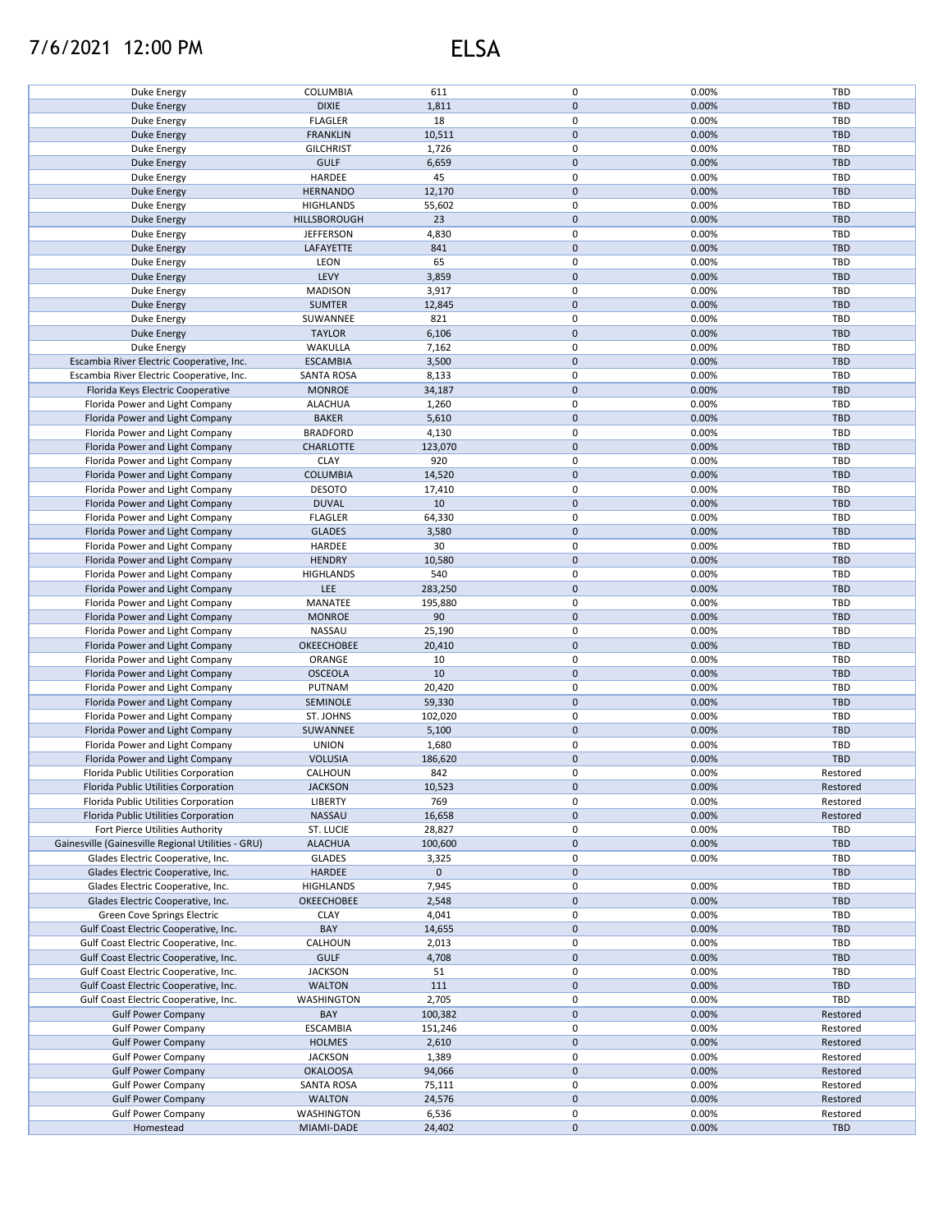## 7/6/2021 12:00 PM ELSA

| Duke Energy                                        | COLUMBIA          | 611         | 0           | 0.00% | TBD        |
|----------------------------------------------------|-------------------|-------------|-------------|-------|------------|
| <b>Duke Energy</b>                                 | <b>DIXIE</b>      | 1,811       | $\mathbf 0$ | 0.00% | <b>TBD</b> |
| Duke Energy                                        | <b>FLAGLER</b>    | 18          | 0           | 0.00% | <b>TBD</b> |
|                                                    |                   |             |             |       |            |
| Duke Energy                                        | <b>FRANKLIN</b>   | 10,511      | $\mathsf 0$ | 0.00% | <b>TBD</b> |
| Duke Energy                                        | <b>GILCHRIST</b>  | 1,726       | 0           | 0.00% | <b>TBD</b> |
| <b>Duke Energy</b>                                 | <b>GULF</b>       | 6,659       | $\pmb{0}$   | 0.00% | <b>TBD</b> |
|                                                    |                   |             | 0           |       |            |
| Duke Energy                                        | HARDEE            | 45          |             | 0.00% | TBD        |
| <b>Duke Energy</b>                                 | <b>HERNANDO</b>   | 12,170      | $\mathsf 0$ | 0.00% | <b>TBD</b> |
| Duke Energy                                        | <b>HIGHLANDS</b>  | 55,602      | 0           | 0.00% | <b>TBD</b> |
| <b>Duke Energy</b>                                 | HILLSBOROUGH      | 23          | $\mathsf 0$ | 0.00% | <b>TBD</b> |
|                                                    |                   |             |             |       |            |
| Duke Energy                                        | <b>JEFFERSON</b>  | 4,830       | 0           | 0.00% | <b>TBD</b> |
| <b>Duke Energy</b>                                 | LAFAYETTE         | 841         | $\mathsf 0$ | 0.00% | <b>TBD</b> |
| Duke Energy                                        | LEON              | 65          | 0           | 0.00% | <b>TBD</b> |
|                                                    |                   |             |             |       |            |
| <b>Duke Energy</b>                                 | LEVY              | 3,859       | $\mathsf 0$ | 0.00% | <b>TBD</b> |
| Duke Energy                                        | <b>MADISON</b>    | 3,917       | 0           | 0.00% | <b>TBD</b> |
| <b>Duke Energy</b>                                 | <b>SUMTER</b>     | 12,845      | $\mathbf 0$ | 0.00% | <b>TBD</b> |
|                                                    |                   | 821         | $\mathbf 0$ |       | <b>TBD</b> |
| Duke Energy                                        | SUWANNEE          |             |             | 0.00% |            |
| <b>Duke Energy</b>                                 | <b>TAYLOR</b>     | 6,106       | $\mathbf 0$ | 0.00% | <b>TBD</b> |
| Duke Energy                                        | WAKULLA           | 7,162       | $\pmb{0}$   | 0.00% | <b>TBD</b> |
| Escambia River Electric Cooperative, Inc.          | <b>ESCAMBIA</b>   | 3,500       | $\pmb{0}$   | 0.00% | <b>TBD</b> |
|                                                    |                   |             |             |       |            |
| Escambia River Electric Cooperative, Inc.          | <b>SANTA ROSA</b> | 8,133       | $\pmb{0}$   | 0.00% | <b>TBD</b> |
| Florida Keys Electric Cooperative                  | <b>MONROE</b>     | 34,187      | $\mathbf 0$ | 0.00% | <b>TBD</b> |
| Florida Power and Light Company                    | <b>ALACHUA</b>    | 1,260       | 0           | 0.00% | <b>TBD</b> |
|                                                    |                   |             |             |       |            |
| Florida Power and Light Company                    | <b>BAKER</b>      | 5,610       | $\pmb{0}$   | 0.00% | <b>TBD</b> |
| Florida Power and Light Company                    | <b>BRADFORD</b>   | 4,130       | 0           | 0.00% | TBD        |
| Florida Power and Light Company                    | CHARLOTTE         | 123,070     | 0           | 0.00% | <b>TBD</b> |
|                                                    |                   |             |             |       |            |
| Florida Power and Light Company                    | <b>CLAY</b>       | 920         | 0           | 0.00% | TBD        |
| Florida Power and Light Company                    | <b>COLUMBIA</b>   | 14,520      | 0           | 0.00% | <b>TBD</b> |
| Florida Power and Light Company                    | <b>DESOTO</b>     | 17,410      | $\pmb{0}$   | 0.00% | TBD        |
|                                                    |                   |             |             |       |            |
| Florida Power and Light Company                    | <b>DUVAL</b>      | 10          | $\mathbf 0$ | 0.00% | <b>TBD</b> |
| Florida Power and Light Company                    | <b>FLAGLER</b>    | 64,330      | 0           | 0.00% | TBD        |
| Florida Power and Light Company                    | <b>GLADES</b>     | 3,580       | $\pmb{0}$   | 0.00% | <b>TBD</b> |
|                                                    |                   |             |             |       |            |
| Florida Power and Light Company                    | HARDEE            | 30          | 0           | 0.00% | TBD        |
| Florida Power and Light Company                    | <b>HENDRY</b>     | 10,580      | $\mathbf 0$ | 0.00% | <b>TBD</b> |
| Florida Power and Light Company                    | <b>HIGHLANDS</b>  | 540         | 0           | 0.00% | TBD        |
|                                                    |                   |             |             |       |            |
| Florida Power and Light Company                    | <b>LEE</b>        | 283,250     | $\pmb{0}$   | 0.00% | <b>TBD</b> |
| Florida Power and Light Company                    | MANATEE           | 195,880     | 0           | 0.00% | TBD        |
| Florida Power and Light Company                    | <b>MONROE</b>     | 90          | $\mathsf 0$ | 0.00% | <b>TBD</b> |
|                                                    |                   |             |             |       |            |
| Florida Power and Light Company                    | NASSAU            | 25,190      | 0           | 0.00% | TBD        |
| Florida Power and Light Company                    | <b>OKEECHOBEE</b> | 20,410      | $\mathsf 0$ | 0.00% | <b>TBD</b> |
| Florida Power and Light Company                    | ORANGE            | 10          | $\mathsf 0$ | 0.00% | TBD        |
|                                                    |                   |             |             |       |            |
| Florida Power and Light Company                    | <b>OSCEOLA</b>    | 10          | $\pmb{0}$   | 0.00% | <b>TBD</b> |
| Florida Power and Light Company                    | PUTNAM            | 20,420      | $\pmb{0}$   | 0.00% | TBD        |
| Florida Power and Light Company                    | SEMINOLE          | 59,330      | $\pmb{0}$   | 0.00% | <b>TBD</b> |
|                                                    |                   |             | 0           |       | TBD        |
| Florida Power and Light Company                    | ST. JOHNS         | 102,020     |             | 0.00% |            |
| Florida Power and Light Company                    | SUWANNEE          | 5,100       | $\mathbf 0$ | 0.00% | <b>TBD</b> |
| Florida Power and Light Company                    | <b>UNION</b>      | 1,680       | 0           | 0.00% | TBD        |
|                                                    | <b>VOLUSIA</b>    |             | $\pmb{0}$   | 0.00% | <b>TBD</b> |
| Florida Power and Light Company                    |                   | 186,620     |             |       |            |
| Florida Public Utilities Corporation               | CALHOUN           | 842         | 0           | 0.00% | Restored   |
| Florida Public Utilities Corporation               | <b>JACKSON</b>    | 10,523      | 0           | 0.00% | Restored   |
|                                                    |                   |             |             |       |            |
| Florida Public Utilities Corporation               | <b>LIBERTY</b>    | 769         | 0           | 0.00% | Restored   |
| Florida Public Utilities Corporation               | NASSAU            | 16,658      | 0           | 0.00% | Restored   |
| Fort Pierce Utilities Authority                    | ST. LUCIE         | 28,827      | 0           | 0.00% | TBD        |
| Gainesville (Gainesville Regional Utilities - GRU) | <b>ALACHUA</b>    | 100,600     | 0           | 0.00% | <b>TBD</b> |
|                                                    |                   |             |             |       |            |
| Glades Electric Cooperative, Inc.                  | <b>GLADES</b>     | 3,325       | 0           | 0.00% | TBD        |
| Glades Electric Cooperative, Inc.                  | HARDEE            | $\mathbf 0$ | $\pmb{0}$   |       | <b>TBD</b> |
| Glades Electric Cooperative, Inc.                  | <b>HIGHLANDS</b>  | 7,945       | 0           | 0.00% | TBD        |
|                                                    |                   |             |             |       |            |
| Glades Electric Cooperative, Inc.                  | <b>OKEECHOBEE</b> | 2,548       | $\mathbf 0$ | 0.00% | <b>TBD</b> |
| Green Cove Springs Electric                        | <b>CLAY</b>       | 4,041       | 0           | 0.00% | TBD        |
| Gulf Coast Electric Cooperative, Inc.              | BAY               | 14,655      | $\pmb{0}$   | 0.00% | <b>TBD</b> |
|                                                    |                   |             | 0           |       | <b>TBD</b> |
| Gulf Coast Electric Cooperative, Inc.              | CALHOUN           | 2,013       |             | 0.00% |            |
| Gulf Coast Electric Cooperative, Inc.              | <b>GULF</b>       | 4,708       | 0           | 0.00% | <b>TBD</b> |
| Gulf Coast Electric Cooperative, Inc.              | <b>JACKSON</b>    | 51          | $\pmb{0}$   | 0.00% | <b>TBD</b> |
| Gulf Coast Electric Cooperative, Inc.              | <b>WALTON</b>     | 111         | $\pmb{0}$   | 0.00% | <b>TBD</b> |
|                                                    |                   |             |             |       |            |
| Gulf Coast Electric Cooperative, Inc.              | WASHINGTON        | 2,705       | $\pmb{0}$   | 0.00% | TBD        |
| <b>Gulf Power Company</b>                          | BAY               | 100,382     | $\pmb{0}$   | 0.00% | Restored   |
| <b>Gulf Power Company</b>                          | <b>ESCAMBIA</b>   | 151,246     | 0           | 0.00% | Restored   |
|                                                    |                   |             |             |       |            |
| <b>Gulf Power Company</b>                          | <b>HOLMES</b>     | 2,610       | 0           | 0.00% | Restored   |
| <b>Gulf Power Company</b>                          | <b>JACKSON</b>    | 1,389       | 0           | 0.00% | Restored   |
| <b>Gulf Power Company</b>                          | <b>OKALOOSA</b>   | 94,066      | 0           | 0.00% | Restored   |
|                                                    |                   |             |             |       |            |
| <b>Gulf Power Company</b>                          | <b>SANTA ROSA</b> | 75,111      | 0           | 0.00% | Restored   |
| <b>Gulf Power Company</b>                          | <b>WALTON</b>     | 24,576      | 0           | 0.00% | Restored   |
| <b>Gulf Power Company</b>                          | WASHINGTON        | 6,536       | 0           | 0.00% | Restored   |
|                                                    |                   |             |             |       |            |
| Homestead                                          | MIAMI-DADE        | 24,402      | 0           | 0.00% | <b>TBD</b> |
|                                                    |                   |             |             |       |            |